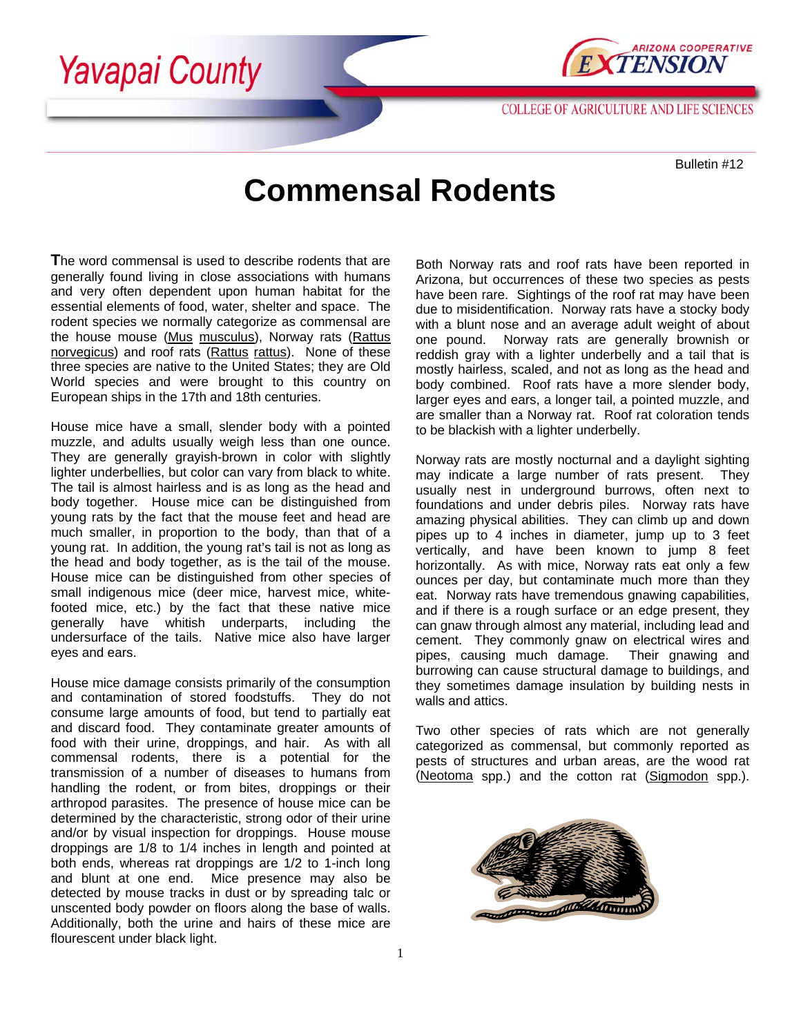



**COLLEGE OF AGRICULTURE AND LIFE SCIENCES** 

Bulletin #12

## **Commensal Rodents**

**T**he word commensal is used to describe rodents that are generally found living in close associations with humans and very often dependent upon human habitat for the essential elements of food, water, shelter and space. The rodent species we normally categorize as commensal are the house mouse (Mus musculus), Norway rats (Rattus norvegicus) and roof rats (Rattus rattus). None of these three species are native to the United States; they are Old World species and were brought to this country on European ships in the 17th and 18th centuries.

House mice have a small, slender body with a pointed muzzle, and adults usually weigh less than one ounce. They are generally grayish-brown in color with slightly lighter underbellies, but color can vary from black to white. The tail is almost hairless and is as long as the head and body together. House mice can be distinguished from young rats by the fact that the mouse feet and head are much smaller, in proportion to the body, than that of a young rat. In addition, the young rat's tail is not as long as the head and body together, as is the tail of the mouse. House mice can be distinguished from other species of small indigenous mice (deer mice, harvest mice, whitefooted mice, etc.) by the fact that these native mice generally have whitish underparts, including the undersurface of the tails. Native mice also have larger eyes and ears.

House mice damage consists primarily of the consumption and contamination of stored foodstuffs. They do not consume large amounts of food, but tend to partially eat and discard food. They contaminate greater amounts of food with their urine, droppings, and hair. As with all commensal rodents, there is a potential for the transmission of a number of diseases to humans from handling the rodent, or from bites, droppings or their arthropod parasites. The presence of house mice can be determined by the characteristic, strong odor of their urine and/or by visual inspection for droppings. House mouse droppings are 1/8 to 1/4 inches in length and pointed at both ends, whereas rat droppings are 1/2 to 1-inch long and blunt at one end. Mice presence may also be detected by mouse tracks in dust or by spreading talc or unscented body powder on floors along the base of walls. Additionally, both the urine and hairs of these mice are flourescent under black light.

Both Norway rats and roof rats have been reported in Arizona, but occurrences of these two species as pests have been rare. Sightings of the roof rat may have been due to misidentification. Norway rats have a stocky body with a blunt nose and an average adult weight of about one pound. Norway rats are generally brownish or reddish gray with a lighter underbelly and a tail that is mostly hairless, scaled, and not as long as the head and body combined. Roof rats have a more slender body, larger eyes and ears, a longer tail, a pointed muzzle, and are smaller than a Norway rat. Roof rat coloration tends to be blackish with a lighter underbelly.

Norway rats are mostly nocturnal and a daylight sighting may indicate a large number of rats present. They usually nest in underground burrows, often next to foundations and under debris piles. Norway rats have amazing physical abilities. They can climb up and down pipes up to 4 inches in diameter, jump up to 3 feet vertically, and have been known to jump 8 feet horizontally. As with mice, Norway rats eat only a few ounces per day, but contaminate much more than they eat. Norway rats have tremendous gnawing capabilities, and if there is a rough surface or an edge present, they can gnaw through almost any material, including lead and cement. They commonly gnaw on electrical wires and<br>pipes, causing much damage. Their gnawing and pipes, causing much damage. burrowing can cause structural damage to buildings, and they sometimes damage insulation by building nests in walls and attics.

Two other species of rats which are not generally categorized as commensal, but commonly reported as pests of structures and urban areas, are the wood rat (Neotoma spp.) and the cotton rat (Sigmodon spp.).